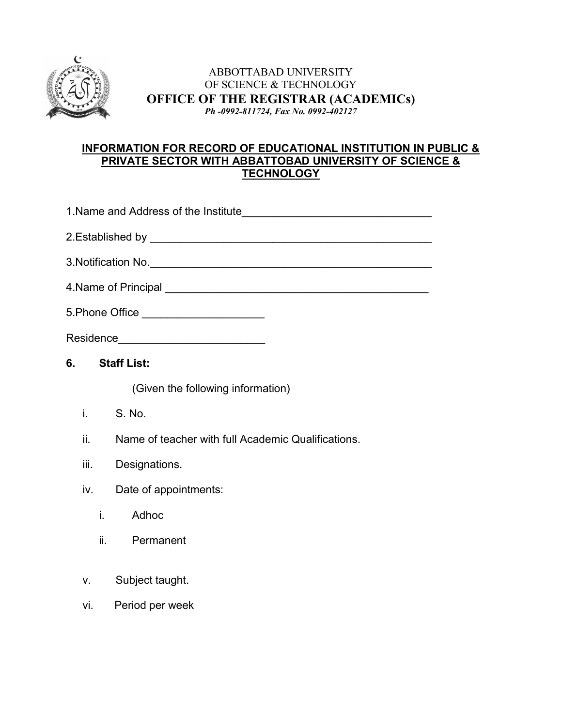

### ABBOTTABAD UNIVERSITY OF SCIENCE & TECHNOLOGY **OFFICE OF THE REGISTRAR (ACADEMICs)** *Ph -0992-811724, Fax No. 0992-402127*

### **INFORMATION FOR RECORD OF EDUCATIONAL INSTITUTION IN PUBLIC & PRIVATE SECTOR WITH ABBATTOBAD UNIVERSITY OF SCIENCE & TECHNOLOGY**

| 5.Phone Office ___________________________                |  |  |  |  |
|-----------------------------------------------------------|--|--|--|--|
| Residence_______________________________                  |  |  |  |  |
| 6.<br><b>Staff List:</b>                                  |  |  |  |  |
| (Given the following information)                         |  |  |  |  |
| i.<br>S. No.                                              |  |  |  |  |
| ii.<br>Name of teacher with full Academic Qualifications. |  |  |  |  |
| iii.<br>Designations.                                     |  |  |  |  |
| Date of appointments:<br>iv.                              |  |  |  |  |
| i. Adhoc                                                  |  |  |  |  |
| ii. Permanent                                             |  |  |  |  |
|                                                           |  |  |  |  |
| Subject taught.<br>V.                                     |  |  |  |  |
| Period per week<br>vi.                                    |  |  |  |  |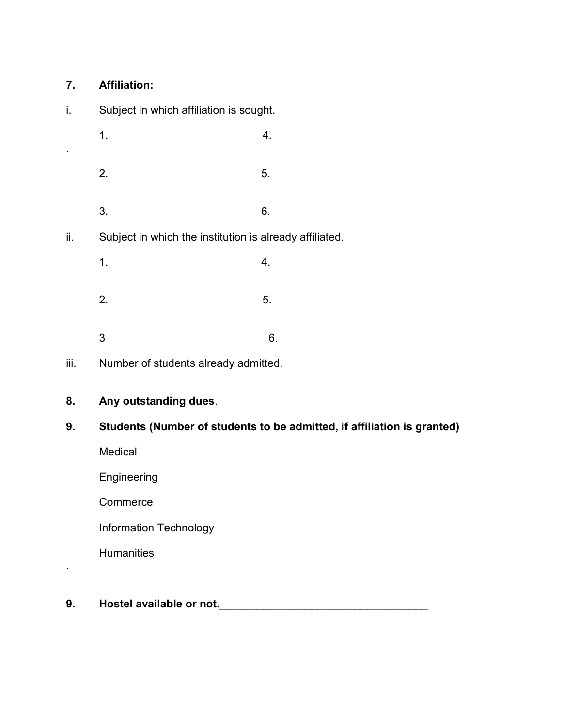# **7. Affiliation:**

| İ.             | Subject in which affiliation is sought.                                                           |    |  |
|----------------|---------------------------------------------------------------------------------------------------|----|--|
| $\blacksquare$ | 1.                                                                                                | 4. |  |
|                | 2.                                                                                                | 5. |  |
|                | 3.                                                                                                | 6. |  |
| ii.            | Subject in which the institution is already affiliated.                                           |    |  |
|                | 1.                                                                                                | 4. |  |
|                | 2.                                                                                                | 5. |  |
|                | 3                                                                                                 | 6. |  |
| iii.           | Number of students already admitted.                                                              |    |  |
| 8.             | Any outstanding dues.                                                                             |    |  |
| 9.             | Students (Number of students to be admitted, if affiliation is granted)<br>Medical<br>Engineering |    |  |
|                |                                                                                                   |    |  |
|                |                                                                                                   |    |  |
|                | Commerce                                                                                          |    |  |

Information Technology

**Humanities** 

.

**9. Hostel available or not.**\_\_\_\_\_\_\_\_\_\_\_\_\_\_\_\_\_\_\_\_\_\_\_\_\_\_\_\_\_\_\_\_\_\_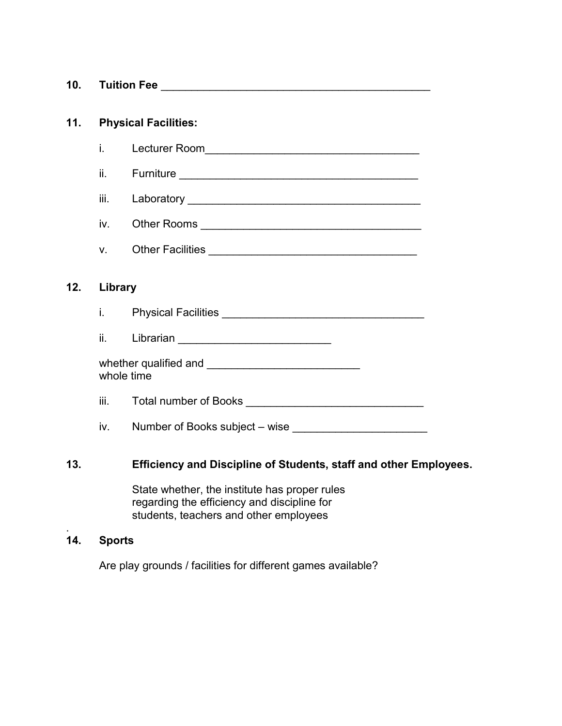| 10. | <b>Tuition Fee</b> |  |
|-----|--------------------|--|
|     |                    |  |

## **11. Physical Facilities:**

i. Lecturer Room\_\_\_\_\_\_\_\_\_\_\_\_\_\_\_\_\_\_\_\_\_\_\_\_\_\_\_\_\_\_\_\_\_\_\_

- ii. Furniture \_\_\_\_\_\_\_\_\_\_\_\_\_\_\_\_\_\_\_\_\_\_\_\_\_\_\_\_\_\_\_\_\_\_\_\_\_\_\_
- iii. Laboratory et al. 2007 and 2008 and 2008 and 2008 and 2008 and 2008 and 2008 and 2008 and 2008 and 2008 a

iv. Other Rooms \_\_\_\_\_\_\_\_\_\_\_\_\_\_\_\_\_\_\_\_\_\_\_\_\_\_\_\_\_\_\_\_\_\_\_\_

v. Other Facilities \_\_\_\_\_\_\_\_\_\_\_\_\_\_\_\_\_\_\_\_\_\_\_\_\_\_\_\_\_\_\_\_\_\_

#### **12. Library**

i. Physical Facilities \_\_\_\_\_\_\_\_\_\_\_\_\_\_\_\_\_\_\_\_\_\_\_\_\_\_\_\_\_\_\_\_\_

ii. Librarian \_\_\_\_\_\_\_\_\_\_\_\_\_\_\_\_\_\_\_\_\_\_\_\_\_

| whether qualified and |  |
|-----------------------|--|
| whole time            |  |

iii. Total number of Books **with the contract of the contract of Books** 

iv. Number of Books subject – wise

#### **13. Efficiency and Discipline of Students, staff and other Employees.**

State whether, the institute has proper rules regarding the efficiency and discipline for students, teachers and other employees

#### **14. Sports**

.

Are play grounds / facilities for different games available?